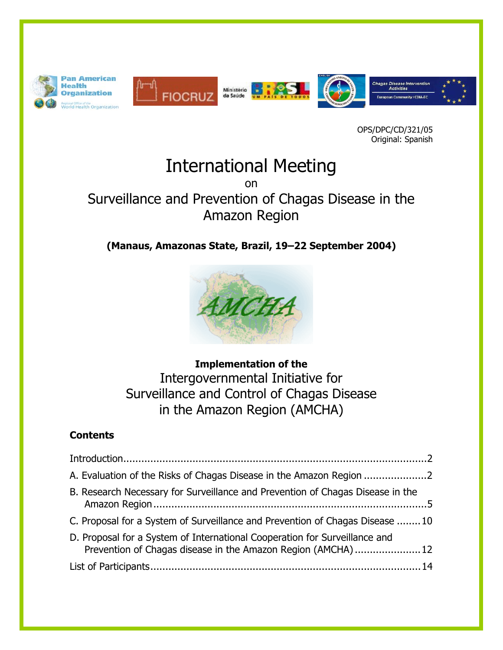

OPS/DPC/CD/321/05 Original: Spanish

# International Meeting

on

# Surveillance and Prevention of Chagas Disease in the Amazon Region

# **(Manaus, Amazonas State, Brazil, 19–22 September 2004)**



**Implementation of the**  Intergovernmental Initiative for Surveillance and Control of Chagas Disease in the Amazon Region (AMCHA)

## **Contents**

| A. Evaluation of the Risks of Chagas Disease in the Amazon Region                                                                         |  |
|-------------------------------------------------------------------------------------------------------------------------------------------|--|
| B. Research Necessary for Surveillance and Prevention of Chagas Disease in the                                                            |  |
| C. Proposal for a System of Surveillance and Prevention of Chagas Disease 10                                                              |  |
| D. Proposal for a System of International Cooperation for Surveillance and<br>Prevention of Chagas disease in the Amazon Region (AMCHA)12 |  |
|                                                                                                                                           |  |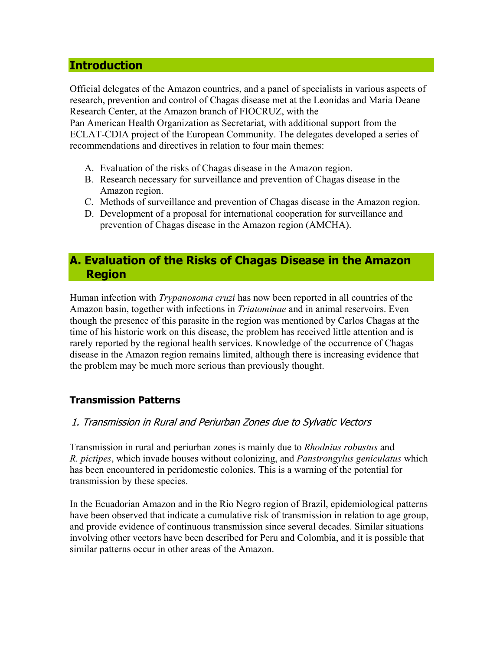#### <span id="page-1-0"></span>**Introduction**

Official delegates of the Amazon countries, and a panel of specialists in various aspects of research, prevention and control of Chagas disease met at the Leonidas and Maria Deane Research Center, at the Amazon branch of FIOCRUZ, with the

Pan American Health Organization as Secretariat, with additional support from the ECLAT-CDIA project of the European Community. The delegates developed a series of recommendations and directives in relation to four main themes:

- A. Evaluation of the risks of Chagas disease in the Amazon region.
- B. Research necessary for surveillance and prevention of Chagas disease in the Amazon region.
- C. Methods of surveillance and prevention of Chagas disease in the Amazon region.
- D. Development of a proposal for international cooperation for surveillance and prevention of Chagas disease in the Amazon region (AMCHA).

### **A. Evaluation of the Risks of Chagas Disease in the Amazon Region**

Human infection with *Trypanosoma cruzi* has now been reported in all countries of the Amazon basin, together with infections in *Triatominae* and in animal reservoirs. Even though the presence of this parasite in the region was mentioned by Carlos Chagas at the time of his historic work on this disease, the problem has received little attention and is rarely reported by the regional health services. Knowledge of the occurrence of Chagas disease in the Amazon region remains limited, although there is increasing evidence that the problem may be much more serious than previously thought.

#### **Transmission Patterns**

#### 1. Transmission in Rural and Periurban Zones due to Sylvatic Vectors

Transmission in rural and periurban zones is mainly due to *Rhodnius robustus* and *R. pictipes*, which invade houses without colonizing, and *Panstrongylus geniculatus* which has been encountered in peridomestic colonies. This is a warning of the potential for transmission by these species.

In the Ecuadorian Amazon and in the Rio Negro region of Brazil, epidemiological patterns have been observed that indicate a cumulative risk of transmission in relation to age group, and provide evidence of continuous transmission since several decades. Similar situations involving other vectors have been described for Peru and Colombia, and it is possible that similar patterns occur in other areas of the Amazon.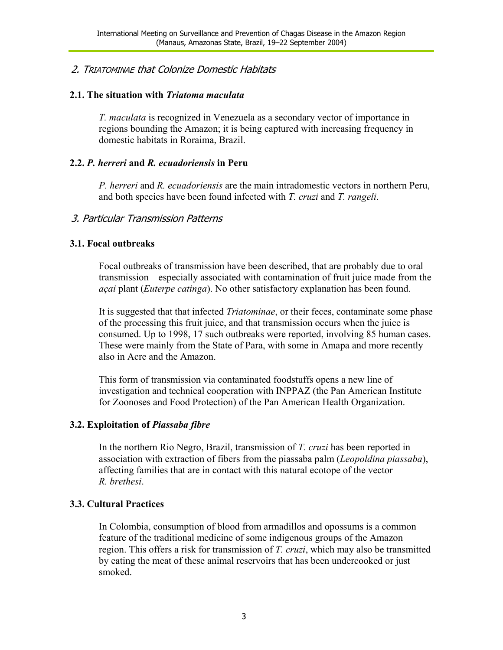#### 2. TRIATOMINAE that Colonize Domestic Habitats

#### **2.1. The situation with** *Triatoma maculata*

*T. maculata* is recognized in Venezuela as a secondary vector of importance in regions bounding the Amazon; it is being captured with increasing frequency in domestic habitats in Roraima, Brazil.

#### **2.2.** *P. herreri* **and** *R. ecuadoriensis* **in Peru**

*P. herreri* and *R. ecuadoriensis* are the main intradomestic vectors in northern Peru, and both species have been found infected with *T. cruzi* and *T. rangeli*.

#### 3. Particular Transmission Patterns

#### **3.1. Focal outbreaks**

Focal outbreaks of transmission have been described, that are probably due to oral transmission—especially associated with contamination of fruit juice made from the *açai* plant (*Euterpe catinga*). No other satisfactory explanation has been found.

It is suggested that that infected *Triatominae*, or their feces, contaminate some phase of the processing this fruit juice, and that transmission occurs when the juice is consumed. Up to 1998, 17 such outbreaks were reported, involving 85 human cases. These were mainly from the State of Para, with some in Amapa and more recently also in Acre and the Amazon.

This form of transmission via contaminated foodstuffs opens a new line of investigation and technical cooperation with INPPAZ (the Pan American Institute for Zoonoses and Food Protection) of the Pan American Health Organization.

#### **3.2. Exploitation of** *Piassaba fibre*

In the northern Rio Negro, Brazil, transmission of *T. cruzi* has been reported in association with extraction of fibers from the piassaba palm (*Leopoldina piassaba*), affecting families that are in contact with this natural ecotope of the vector *R. brethesi*.

#### **3.3. Cultural Practices**

In Colombia, consumption of blood from armadillos and opossums is a common feature of the traditional medicine of some indigenous groups of the Amazon region. This offers a risk for transmission of *T. cruzi*, which may also be transmitted by eating the meat of these animal reservoirs that has been undercooked or just smoked.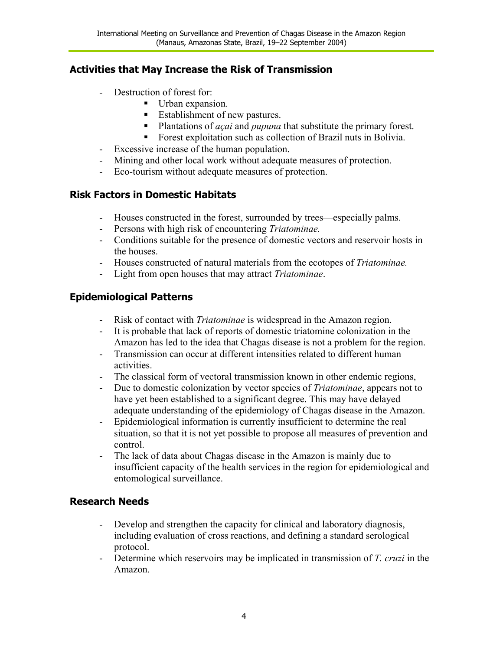### **Activities that May Increase the Risk of Transmission**

- Destruction of forest for:
	- Urban expansion.
	- Establishment of new pastures.
	- **Plantations of** *açai* and *pupuna* that substitute the primary forest.
	- Forest exploitation such as collection of Brazil nuts in Bolivia.
- Excessive increase of the human population.
- Mining and other local work without adequate measures of protection.
- Eco-tourism without adequate measures of protection.

#### **Risk Factors in Domestic Habitats**

- Houses constructed in the forest, surrounded by trees—especially palms.
- Persons with high risk of encountering *Triatominae.*
- Conditions suitable for the presence of domestic vectors and reservoir hosts in the houses.
- Houses constructed of natural materials from the ecotopes of *Triatominae.*
- Light from open houses that may attract *Triatominae*.

### **Epidemiological Patterns**

- Risk of contact with *Triatominae* is widespread in the Amazon region.
- It is probable that lack of reports of domestic triatomine colonization in the Amazon has led to the idea that Chagas disease is not a problem for the region.
- Transmission can occur at different intensities related to different human activities.
- The classical form of vectoral transmission known in other endemic regions,
- Due to domestic colonization by vector species of *Triatominae*, appears not to have yet been established to a significant degree. This may have delayed adequate understanding of the epidemiology of Chagas disease in the Amazon.
- Epidemiological information is currently insufficient to determine the real situation, so that it is not yet possible to propose all measures of prevention and control.
- The lack of data about Chagas disease in the Amazon is mainly due to insufficient capacity of the health services in the region for epidemiological and entomological surveillance.

### **Research Needs**

- Develop and strengthen the capacity for clinical and laboratory diagnosis, including evaluation of cross reactions, and defining a standard serological protocol.
- Determine which reservoirs may be implicated in transmission of *T. cruzi* in the Amazon.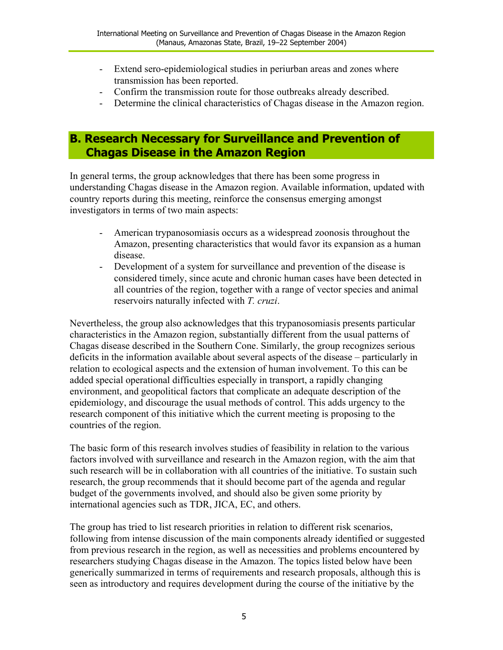- <span id="page-4-0"></span>Extend sero-epidemiological studies in periurban areas and zones where transmission has been reported.
- Confirm the transmission route for those outbreaks already described.
- Determine the clinical characteristics of Chagas disease in the Amazon region.

### **B. Research Necessary for Surveillance and Prevention of Chagas Disease in the Amazon Region**

In general terms, the group acknowledges that there has been some progress in understanding Chagas disease in the Amazon region. Available information, updated with country reports during this meeting, reinforce the consensus emerging amongst investigators in terms of two main aspects:

- American trypanosomiasis occurs as a widespread zoonosis throughout the Amazon, presenting characteristics that would favor its expansion as a human disease.
- Development of a system for surveillance and prevention of the disease is considered timely, since acute and chronic human cases have been detected in all countries of the region, together with a range of vector species and animal reservoirs naturally infected with *T. cruzi*.

Nevertheless, the group also acknowledges that this trypanosomiasis presents particular characteristics in the Amazon region, substantially different from the usual patterns of Chagas disease described in the Southern Cone. Similarly, the group recognizes serious deficits in the information available about several aspects of the disease – particularly in relation to ecological aspects and the extension of human involvement. To this can be added special operational difficulties especially in transport, a rapidly changing environment, and geopolitical factors that complicate an adequate description of the epidemiology, and discourage the usual methods of control. This adds urgency to the research component of this initiative which the current meeting is proposing to the countries of the region.

The basic form of this research involves studies of feasibility in relation to the various factors involved with surveillance and research in the Amazon region, with the aim that such research will be in collaboration with all countries of the initiative. To sustain such research, the group recommends that it should become part of the agenda and regular budget of the governments involved, and should also be given some priority by international agencies such as TDR, JICA, EC, and others.

The group has tried to list research priorities in relation to different risk scenarios, following from intense discussion of the main components already identified or suggested from previous research in the region, as well as necessities and problems encountered by researchers studying Chagas disease in the Amazon. The topics listed below have been generically summarized in terms of requirements and research proposals, although this is seen as introductory and requires development during the course of the initiative by the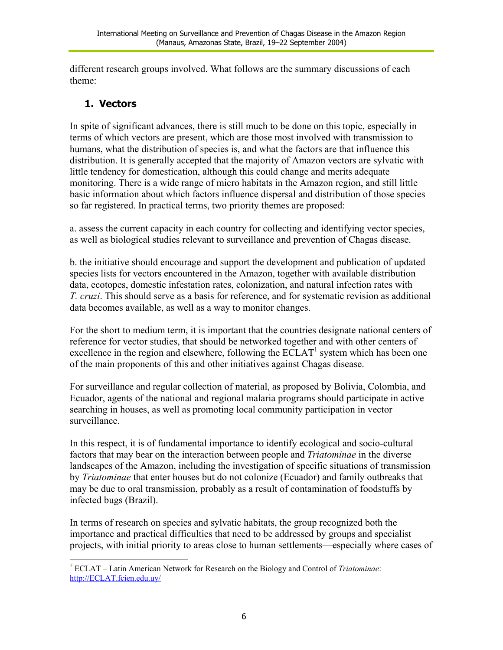different research groups involved. What follows are the summary discussions of each theme:

### **1. Vectors**

In spite of significant advances, there is still much to be done on this topic, especially in terms of which vectors are present, which are those most involved with transmission to humans, what the distribution of species is, and what the factors are that influence this distribution. It is generally accepted that the majority of Amazon vectors are sylvatic with little tendency for domestication, although this could change and merits adequate monitoring. There is a wide range of micro habitats in the Amazon region, and still little basic information about which factors influence dispersal and distribution of those species so far registered. In practical terms, two priority themes are proposed:

a. assess the current capacity in each country for collecting and identifying vector species, as well as biological studies relevant to surveillance and prevention of Chagas disease.

b. the initiative should encourage and support the development and publication of updated species lists for vectors encountered in the Amazon, together with available distribution data, ecotopes, domestic infestation rates, colonization, and natural infection rates with *T. cruzi*. This should serve as a basis for reference, and for systematic revision as additional data becomes available, as well as a way to monitor changes.

For the short to medium term, it is important that the countries designate national centers of reference for vector studies, that should be networked together and with other centers of excellence in the region and elsewhere, following the  $ECLAT<sup>1</sup>$  $ECLAT<sup>1</sup>$  $ECLAT<sup>1</sup>$  system which has been one of the main proponents of this and other initiatives against Chagas disease.

For surveillance and regular collection of material, as proposed by Bolivia, Colombia, and Ecuador, agents of the national and regional malaria programs should participate in active searching in houses, as well as promoting local community participation in vector surveillance.

In this respect, it is of fundamental importance to identify ecological and socio-cultural factors that may bear on the interaction between people and *Triatominae* in the diverse landscapes of the Amazon, including the investigation of specific situations of transmission by *Triatominae* that enter houses but do not colonize (Ecuador) and family outbreaks that may be due to oral transmission, probably as a result of contamination of foodstuffs by infected bugs (Brazil).

In terms of research on species and sylvatic habitats, the group recognized both the importance and practical difficulties that need to be addressed by groups and specialist projects, with initial priority to areas close to human settlements—especially where cases of

<span id="page-5-0"></span><sup>1</sup> 1 ECLAT – Latin American Network for Research on the Biology and Control of *Triatominae*: [http://ECLAT.fcien.edu.uy/](http://eclat.fcien.edu.uy/)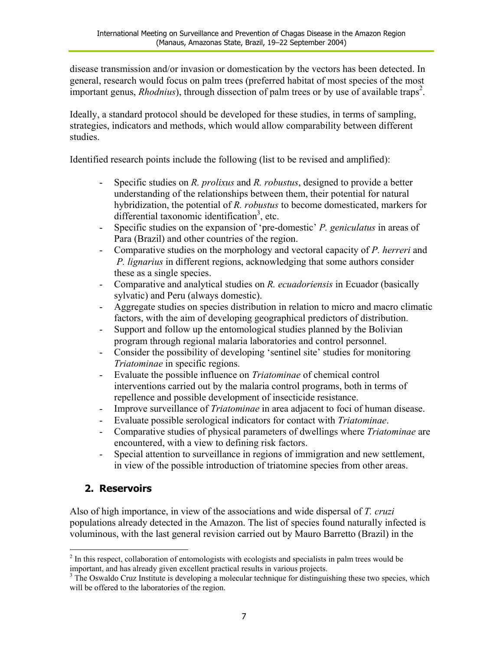disease transmission and/or invasion or domestication by the vectors has been detected. In general, research would focus on palm trees (preferred habitat of most species of the most important genus, *Rhodnius*), through dissection of palm trees or by use of available traps<sup>[2](#page-6-0)</sup>.

Ideally, a standard protocol should be developed for these studies, in terms of sampling, strategies, indicators and methods, which would allow comparability between different studies.

Identified research points include the following (list to be revised and amplified):

- Specific studies on *R. prolixus* and *R. robustus*, designed to provide a better understanding of the relationships between them, their potential for natural hybridization, the potential of *R. robustus* to become domesticated, markers for differential taxonomic identification<sup>3</sup>, etc.
- Specific studies on the expansion of 'pre-domestic' *P. geniculatus* in areas of Para (Brazil) and other countries of the region.
- Comparative studies on the morphology and vectoral capacity of *P. herreri* and  *P. lignarius* in different regions, acknowledging that some authors consider these as a single species.
- Comparative and analytical studies on *R. ecuadoriensis* in Ecuador (basically sylvatic) and Peru (always domestic).
- Aggregate studies on species distribution in relation to micro and macro climatic factors, with the aim of developing geographical predictors of distribution.
- Support and follow up the entomological studies planned by the Bolivian program through regional malaria laboratories and control personnel.
- Consider the possibility of developing 'sentinel site' studies for monitoring *Triatominae* in specific regions.
- Evaluate the possible influence on *Triatominae* of chemical control interventions carried out by the malaria control programs, both in terms of repellence and possible development of insecticide resistance.
- Improve surveillance of *Triatominae* in area adjacent to foci of human disease.
- Evaluate possible serological indicators for contact with *Triatominae*.
- Comparative studies of physical parameters of dwellings where *Triatominae* are encountered, with a view to defining risk factors.
- Special attention to surveillance in regions of immigration and new settlement, in view of the possible introduction of triatomine species from other areas.

### **2. Reservoirs**

<u>.</u>

Also of high importance, in view of the associations and wide dispersal of *T. cruzi* populations already detected in the Amazon. The list of species found naturally infected is voluminous, with the last general revision carried out by Mauro Barretto (Brazil) in the

<span id="page-6-0"></span> $2<sup>2</sup>$  In this respect, collaboration of entomologists with ecologists and specialists in palm trees would be important, and has already given excellent practical results in various projects. 3

<span id="page-6-1"></span><sup>&</sup>lt;sup>3</sup> The Oswaldo Cruz Institute is developing a molecular technique for distinguishing these two species, which will be offered to the laboratories of the region.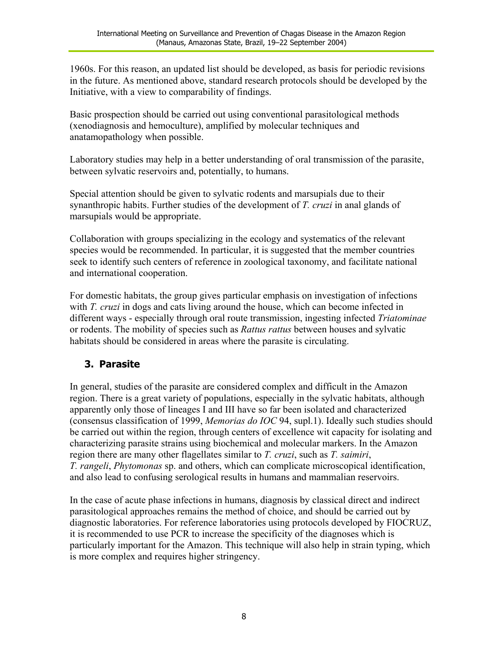1960s. For this reason, an updated list should be developed, as basis for periodic revisions in the future. As mentioned above, standard research protocols should be developed by the Initiative, with a view to comparability of findings.

Basic prospection should be carried out using conventional parasitological methods (xenodiagnosis and hemoculture), amplified by molecular techniques and anatamopathology when possible.

Laboratory studies may help in a better understanding of oral transmission of the parasite, between sylvatic reservoirs and, potentially, to humans.

Special attention should be given to sylvatic rodents and marsupials due to their synanthropic habits. Further studies of the development of *T. cruzi* in anal glands of marsupials would be appropriate.

Collaboration with groups specializing in the ecology and systematics of the relevant species would be recommended. In particular, it is suggested that the member countries seek to identify such centers of reference in zoological taxonomy, and facilitate national and international cooperation.

For domestic habitats, the group gives particular emphasis on investigation of infections with *T. cruzi* in dogs and cats living around the house, which can become infected in different ways - especially through oral route transmission, ingesting infected *Triatominae* or rodents. The mobility of species such as *Rattus rattus* between houses and sylvatic habitats should be considered in areas where the parasite is circulating.

### **3. Parasite**

In general, studies of the parasite are considered complex and difficult in the Amazon region. There is a great variety of populations, especially in the sylvatic habitats, although apparently only those of lineages I and III have so far been isolated and characterized (consensus classification of 1999, *Memorias do IOC* 94, supl.1). Ideally such studies should be carried out within the region, through centers of excellence wit capacity for isolating and characterizing parasite strains using biochemical and molecular markers. In the Amazon region there are many other flagellates similar to *T. cruzi*, such as *T. saimiri*, *T. rangeli*, *Phytomonas* sp. and others, which can complicate microscopical identification, and also lead to confusing serological results in humans and mammalian reservoirs.

In the case of acute phase infections in humans, diagnosis by classical direct and indirect parasitological approaches remains the method of choice, and should be carried out by diagnostic laboratories. For reference laboratories using protocols developed by FIOCRUZ, it is recommended to use PCR to increase the specificity of the diagnoses which is particularly important for the Amazon. This technique will also help in strain typing, which is more complex and requires higher stringency.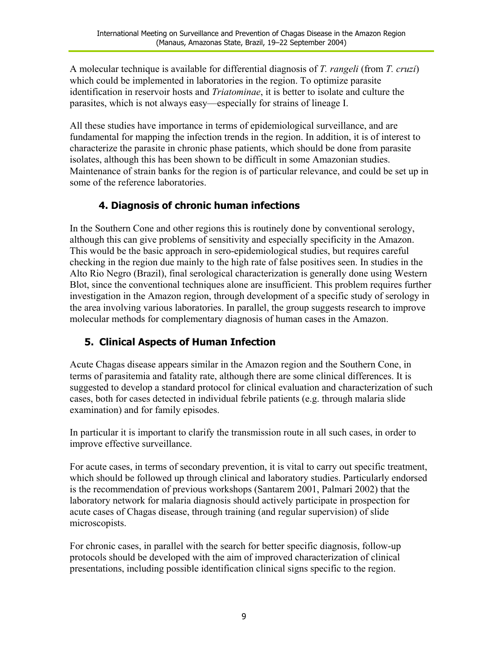A molecular technique is available for differential diagnosis of *T. rangeli* (from *T. cruzi*) which could be implemented in laboratories in the region. To optimize parasite identification in reservoir hosts and *Triatominae*, it is better to isolate and culture the parasites, which is not always easy—especially for strains of lineage I.

All these studies have importance in terms of epidemiological surveillance, and are fundamental for mapping the infection trends in the region. In addition, it is of interest to characterize the parasite in chronic phase patients, which should be done from parasite isolates, although this has been shown to be difficult in some Amazonian studies. Maintenance of strain banks for the region is of particular relevance, and could be set up in some of the reference laboratories.

### **4. Diagnosis of chronic human infections**

In the Southern Cone and other regions this is routinely done by conventional serology, although this can give problems of sensitivity and especially specificity in the Amazon. This would be the basic approach in sero-epidemiological studies, but requires careful checking in the region due mainly to the high rate of false positives seen. In studies in the Alto Rio Negro (Brazil), final serological characterization is generally done using Western Blot, since the conventional techniques alone are insufficient. This problem requires further investigation in the Amazon region, through development of a specific study of serology in the area involving various laboratories. In parallel, the group suggests research to improve molecular methods for complementary diagnosis of human cases in the Amazon.

### **5. Clinical Aspects of Human Infection**

Acute Chagas disease appears similar in the Amazon region and the Southern Cone, in terms of parasitemia and fatality rate, although there are some clinical differences. It is suggested to develop a standard protocol for clinical evaluation and characterization of such cases, both for cases detected in individual febrile patients (e.g. through malaria slide examination) and for family episodes.

In particular it is important to clarify the transmission route in all such cases, in order to improve effective surveillance.

For acute cases, in terms of secondary prevention, it is vital to carry out specific treatment, which should be followed up through clinical and laboratory studies. Particularly endorsed is the recommendation of previous workshops (Santarem 2001, Palmari 2002) that the laboratory network for malaria diagnosis should actively participate in prospection for acute cases of Chagas disease, through training (and regular supervision) of slide microscopists.

For chronic cases, in parallel with the search for better specific diagnosis, follow-up protocols should be developed with the aim of improved characterization of clinical presentations, including possible identification clinical signs specific to the region.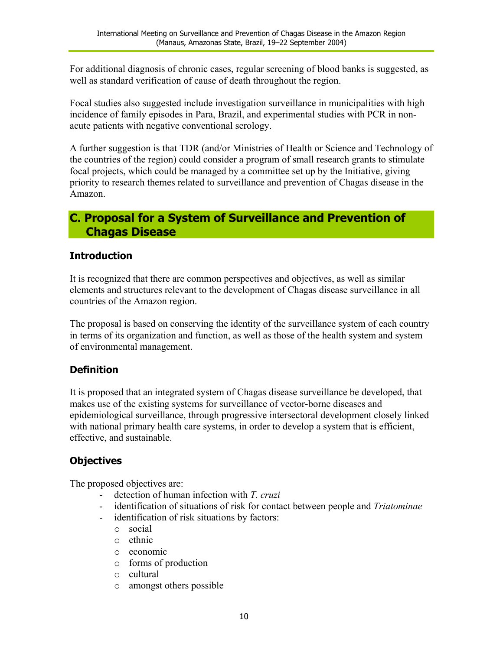<span id="page-9-0"></span>For additional diagnosis of chronic cases, regular screening of blood banks is suggested, as well as standard verification of cause of death throughout the region.

Focal studies also suggested include investigation surveillance in municipalities with high incidence of family episodes in Para, Brazil, and experimental studies with PCR in nonacute patients with negative conventional serology.

A further suggestion is that TDR (and/or Ministries of Health or Science and Technology of the countries of the region) could consider a program of small research grants to stimulate focal projects, which could be managed by a committee set up by the Initiative, giving priority to research themes related to surveillance and prevention of Chagas disease in the Amazon.

### **C. Proposal for a System of Surveillance and Prevention of Chagas Disease**

### **Introduction**

It is recognized that there are common perspectives and objectives, as well as similar elements and structures relevant to the development of Chagas disease surveillance in all countries of the Amazon region.

The proposal is based on conserving the identity of the surveillance system of each country in terms of its organization and function, as well as those of the health system and system of environmental management.

### **Definition**

It is proposed that an integrated system of Chagas disease surveillance be developed, that makes use of the existing systems for surveillance of vector-borne diseases and epidemiological surveillance, through progressive intersectoral development closely linked with national primary health care systems, in order to develop a system that is efficient, effective, and sustainable.

### **Objectives**

The proposed objectives are:

- detection of human infection with *T. cruzi*
- identification of situations of risk for contact between people and *Triatominae*
- identification of risk situations by factors:
	- o social
	- o ethnic
	- o economic
	- o forms of production
	- o cultural
	- o amongst others possible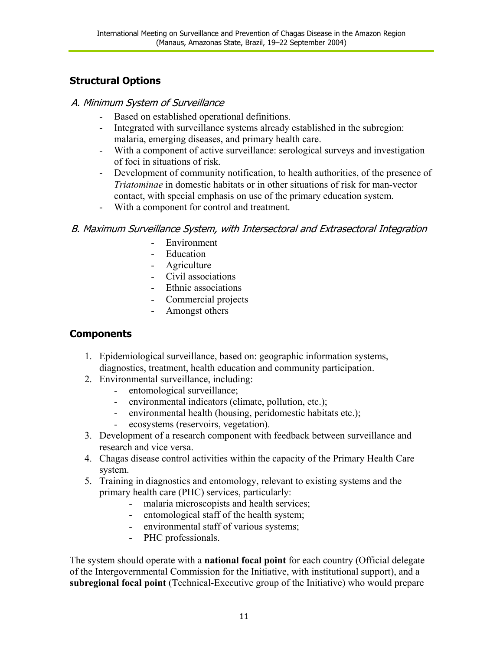### **Structural Options**

#### A. Minimum System of Surveillance

- Based on established operational definitions.
- Integrated with surveillance systems already established in the subregion: malaria, emerging diseases, and primary health care.
- With a component of active surveillance: serological surveys and investigation of foci in situations of risk.
- Development of community notification, to health authorities, of the presence of *Triatominae* in domestic habitats or in other situations of risk for man-vector contact, with special emphasis on use of the primary education system.
- With a component for control and treatment.

### B. Maximum Surveillance System, with Intersectoral and Extrasectoral Integration

- Environment
- Education
- Agriculture
- Civil associations
- Ethnic associations
- Commercial projects
- Amongst others

### **Components**

- 1. Epidemiological surveillance, based on: geographic information systems, diagnostics, treatment, health education and community participation.
- 2. Environmental surveillance, including:
	- entomological surveillance;
	- environmental indicators (climate, pollution, etc.);
	- environmental health (housing, peridomestic habitats etc.);
	- ecosystems (reservoirs, vegetation).
- 3. Development of a research component with feedback between surveillance and research and vice versa.
- 4. Chagas disease control activities within the capacity of the Primary Health Care system.
- 5. Training in diagnostics and entomology, relevant to existing systems and the primary health care (PHC) services, particularly:
	- malaria microscopists and health services;
	- entomological staff of the health system;
	- environmental staff of various systems;
	- PHC professionals.

The system should operate with a **national focal point** for each country (Official delegate of the Intergovernmental Commission for the Initiative, with institutional support), and a **subregional focal point** (Technical-Executive group of the Initiative) who would prepare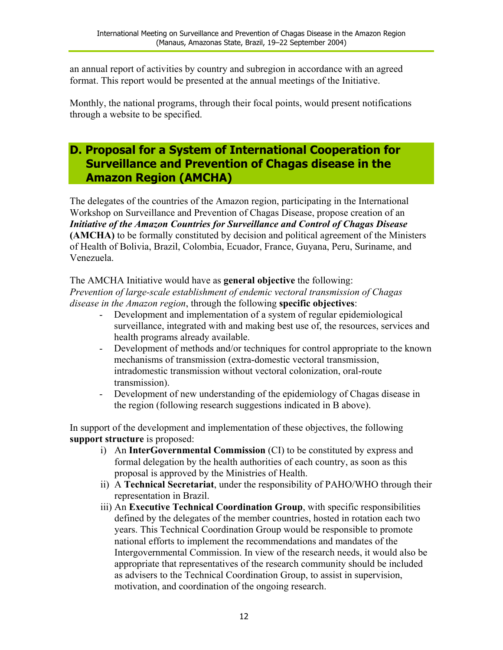<span id="page-11-0"></span>an annual report of activities by country and subregion in accordance with an agreed format. This report would be presented at the annual meetings of the Initiative.

Monthly, the national programs, through their focal points, would present notifications through a website to be specified.

## **D. Proposal for a System of International Cooperation for Surveillance and Prevention of Chagas disease in the Amazon Region (AMCHA)**

The delegates of the countries of the Amazon region, participating in the International Workshop on Surveillance and Prevention of Chagas Disease, propose creation of an *Initiative of the Amazon Countries for Surveillance and Control of Chagas Disease* **(AMCHA)** to be formally constituted by decision and political agreement of the Ministers of Health of Bolivia, Brazil, Colombia, Ecuador, France, Guyana, Peru, Suriname, and Venezuela.

The AMCHA Initiative would have as **general objective** the following:

*Prevention of large-scale establishment of endemic vectoral transmission of Chagas disease in the Amazon region*, through the following **specific objectives**:

- Development and implementation of a system of regular epidemiological surveillance, integrated with and making best use of, the resources, services and health programs already available.
- Development of methods and/or techniques for control appropriate to the known mechanisms of transmission (extra-domestic vectoral transmission, intradomestic transmission without vectoral colonization, oral-route transmission).
- Development of new understanding of the epidemiology of Chagas disease in the region (following research suggestions indicated in B above).

In support of the development and implementation of these objectives, the following **support structure** is proposed:

- i) An **InterGovernmental Commission** (CI) to be constituted by express and formal delegation by the health authorities of each country, as soon as this proposal is approved by the Ministries of Health.
- ii) A **Technical Secretariat**, under the responsibility of PAHO/WHO through their representation in Brazil.
- iii) An **Executive Technical Coordination Group**, with specific responsibilities defined by the delegates of the member countries, hosted in rotation each two years. This Technical Coordination Group would be responsible to promote national efforts to implement the recommendations and mandates of the Intergovernmental Commission. In view of the research needs, it would also be appropriate that representatives of the research community should be included as advisers to the Technical Coordination Group, to assist in supervision, motivation, and coordination of the ongoing research.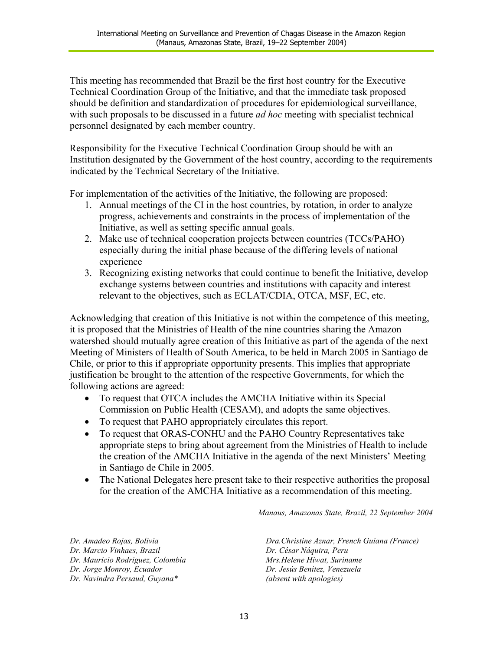This meeting has recommended that Brazil be the first host country for the Executive Technical Coordination Group of the Initiative, and that the immediate task proposed should be definition and standardization of procedures for epidemiological surveillance, with such proposals to be discussed in a future *ad hoc* meeting with specialist technical personnel designated by each member country.

Responsibility for the Executive Technical Coordination Group should be with an Institution designated by the Government of the host country, according to the requirements indicated by the Technical Secretary of the Initiative.

For implementation of the activities of the Initiative, the following are proposed:

- 1. Annual meetings of the CI in the host countries, by rotation, in order to analyze progress, achievements and constraints in the process of implementation of the Initiative, as well as setting specific annual goals.
- 2. Make use of technical cooperation projects between countries (TCCs/PAHO) especially during the initial phase because of the differing levels of national experience
- 3. Recognizing existing networks that could continue to benefit the Initiative, develop exchange systems between countries and institutions with capacity and interest relevant to the objectives, such as ECLAT/CDIA, OTCA, MSF, EC, etc.

Acknowledging that creation of this Initiative is not within the competence of this meeting, it is proposed that the Ministries of Health of the nine countries sharing the Amazon watershed should mutually agree creation of this Initiative as part of the agenda of the next Meeting of Ministers of Health of South America, to be held in March 2005 in Santiago de Chile, or prior to this if appropriate opportunity presents. This implies that appropriate justification be brought to the attention of the respective Governments, for which the following actions are agreed:

- To request that OTCA includes the AMCHA Initiative within its Special Commission on Public Health (CESAM), and adopts the same objectives.
- To request that PAHO appropriately circulates this report.
- To request that ORAS-CONHU and the PAHO Country Representatives take appropriate steps to bring about agreement from the Ministries of Health to include the creation of the AMCHA Initiative in the agenda of the next Ministers' Meeting in Santiago de Chile in 2005.
- $\bullet$ The National Delegates here present take to their respective authorities the proposal for the creation of the AMCHA Initiative as a recommendation of this meeting.

*Manaus, Amazonas State, Brazil, 22 September 2004* 

*Dr. Amadeo Rojas, Bolivia Dr. Marcio Vinhaes, Brazil Dr. Mauricio Rodríguez, Colombia Dr. Jorge Monroy, Ecuador Dr. Navindra Persaud, Guyana\**

*Dra.Christine Aznar, French Guiana (France) Dr. César Náquira, Peru Mrs.Helene Hiwat, Suriname Dr. Jesús Benitez, Venezuela (absent with apologies)*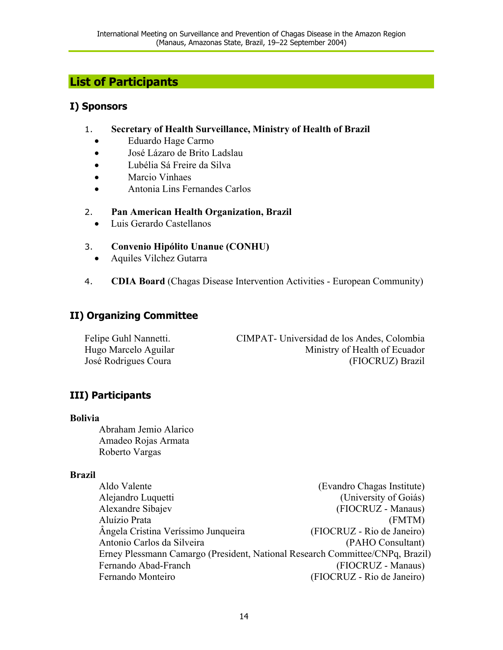# <span id="page-13-0"></span>**List of Participants**

#### **I) Sponsors**

- 1. **Secretary of Health Surveillance, Ministry of Health of Brazil** 
	- Eduardo Hage Carmo
	- José Lázaro de Brito Ladslau
	- Lubélia Sá Freire da Silva
	- Marcio Vinhaes
	- Antonia Lins Fernandes Carlos

#### 2. **Pan American Health Organization, Brazil**

• Luis Gerardo Castellanos

#### 3. **Convenio Hipólito Unanue (CONHU)**

- Aquiles Vilchez Gutarra
- 4. **CDIA Board** (Chagas Disease Intervention Activities European Community)

### **II) Organizing Committee**

Felipe Guhl Nannetti. CIMPAT- Universidad de los Andes, Colombia Hugo Marcelo Aguilar Ministry of Health of Ecuador José Rodrigues Coura (FIOCRUZ) Brazil

### **III) Participants**

#### **Bolivia**

Abraham Jemio Alarico Amadeo Rojas Armata Roberto Vargas

#### **Brazil**

Aldo Valente (Evandro Chagas Institute) Alejandro Luquetti (University of Goiás) Alexandre Sibajev (FIOCRUZ - Manaus) Aluízio Prata (FMTM) Ângela Cristina Veríssimo Junqueira (FIOCRUZ - Rio de Janeiro) Antonio Carlos da Silveira (PAHO Consultant) Erney Plessmann Camargo (President, National Research Committee/CNPq, Brazil) Fernando Abad-Franch (FIOCRUZ - Manaus) Fernando Monteiro (FIOCRUZ - Rio de Janeiro)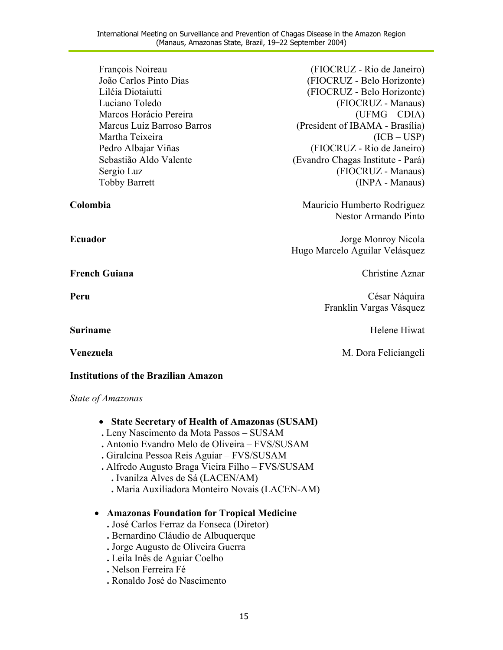| François Noireau<br>João Carlos Pinto Dias<br>Liléia Diotaiutti<br>Luciano Toledo<br>Marcos Horácio Pereira<br>Marcus Luiz Barroso Barros<br>Martha Teixeira<br>Pedro Albajar Viñas<br>Sebastião Aldo Valente<br>Sergio Luz<br><b>Tobby Barrett</b> | (FIOCRUZ - Rio de Janeiro)<br>(FIOCRUZ - Belo Horizonte)<br>(FIOCRUZ - Belo Horizonte)<br>(FIOCRUZ - Manaus)<br>$(UFMG - CDIA)$<br>(President of IBAMA - Brasília)<br>(ICB – USP)<br>(FIOCRUZ - Rio de Janeiro)<br>(Evandro Chagas Institute - Pará)<br>(FIOCRUZ - Manaus)<br>(INPA - Manaus) |  |
|-----------------------------------------------------------------------------------------------------------------------------------------------------------------------------------------------------------------------------------------------------|-----------------------------------------------------------------------------------------------------------------------------------------------------------------------------------------------------------------------------------------------------------------------------------------------|--|
| Colombia                                                                                                                                                                                                                                            | Mauricio Humberto Rodriguez<br>Nestor Armando Pinto                                                                                                                                                                                                                                           |  |
| <b>Ecuador</b>                                                                                                                                                                                                                                      | Jorge Monroy Nicola<br>Hugo Marcelo Aguilar Velásquez                                                                                                                                                                                                                                         |  |
| <b>French Guiana</b>                                                                                                                                                                                                                                | Christine Aznar                                                                                                                                                                                                                                                                               |  |
| Peru                                                                                                                                                                                                                                                | César Náquira<br>Franklin Vargas Vásquez                                                                                                                                                                                                                                                      |  |
| <b>Suriname</b>                                                                                                                                                                                                                                     | Helene Hiwat                                                                                                                                                                                                                                                                                  |  |
| Venezuela                                                                                                                                                                                                                                           | M. Dora Feliciangeli                                                                                                                                                                                                                                                                          |  |
| <b>Institutions of the Brazilian Amazon</b>                                                                                                                                                                                                         |                                                                                                                                                                                                                                                                                               |  |

#### *State of Amazonas*

- **State Secretary of Health of Amazonas (SUSAM)**
- **.** Leny Nascimento da Mota Passos SUSAM
- **.** Antonio Evandro Melo de Oliveira FVS/SUSAM
- **.** Giralcina Pessoa Reis Aguiar FVS/SUSAM
- **.** Alfredo Augusto Braga Vieira Filho FVS/SUSAM
	- **.** Ivanilza Alves de Sá (LACEN/AM)
	- **.** Maria Auxiliadora Monteiro Novais (LACEN-AM)

#### • **Amazonas Foundation for Tropical Medicine**

- **.** José Carlos Ferraz da Fonseca (Diretor)
- **.** Bernardino Cláudio de Albuquerque
- **.** Jorge Augusto de Oliveira Guerra
- **.** Leila Inês de Aguiar Coelho
- **.** Nelson Ferreira Fé
- **.** Ronaldo José do Nascimento